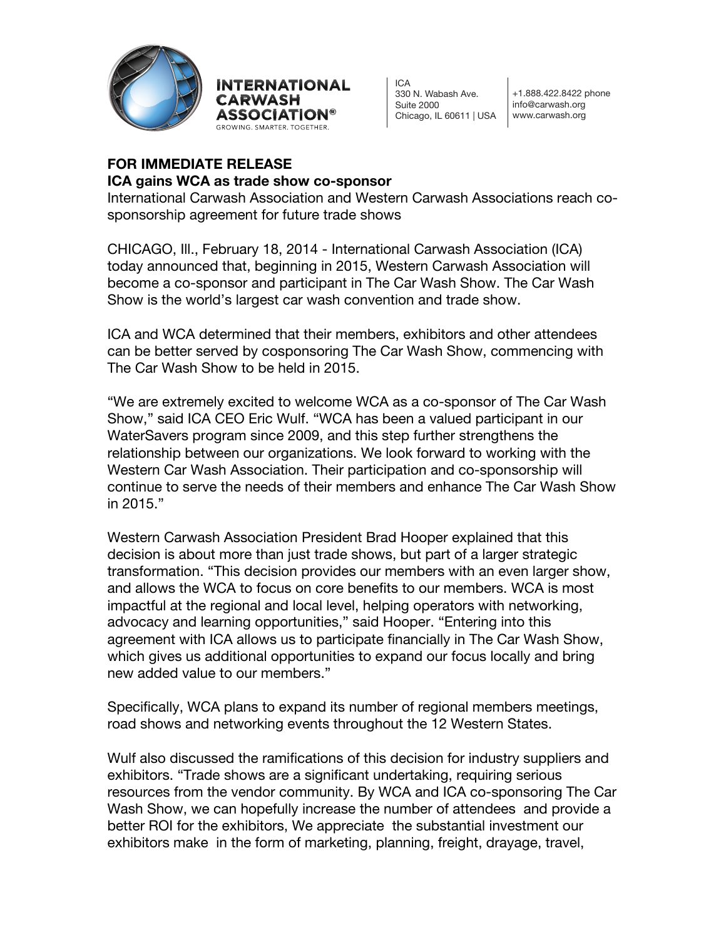



 $ICA$ 330 N. Wabash Ave. Suite 2000 Chicago, IL 60611 | USA

+1.888.422.8422 phone info@carwash.org www.carwash.org

# **FOR IMMEDIATE RELEASE**

### **ICA gains WCA as trade show co-sponsor**

International Carwash Association and Western Carwash Associations reach cosponsorship agreement for future trade shows

CHICAGO, Ill., February 18, 2014 - International Carwash Association (ICA) today announced that, beginning in 2015, Western Carwash Association will become a co-sponsor and participant in The Car Wash Show. The Car Wash Show is the world's largest car wash convention and trade show.

ICA and WCA determined that their members, exhibitors and other attendees can be better served by cosponsoring The Car Wash Show, commencing with The Car Wash Show to be held in 2015.

"We are extremely excited to welcome WCA as a co-sponsor of The Car Wash Show," said ICA CEO Eric Wulf. "WCA has been a valued participant in our WaterSavers program since 2009, and this step further strengthens the relationship between our organizations. We look forward to working with the Western Car Wash Association. Their participation and co-sponsorship will continue to serve the needs of their members and enhance The Car Wash Show in 2015."

Western Carwash Association President Brad Hooper explained that this decision is about more than just trade shows, but part of a larger strategic transformation. "This decision provides our members with an even larger show, and allows the WCA to focus on core benefits to our members. WCA is most impactful at the regional and local level, helping operators with networking, advocacy and learning opportunities," said Hooper. "Entering into this agreement with ICA allows us to participate financially in The Car Wash Show, which gives us additional opportunities to expand our focus locally and bring new added value to our members."

Specifically, WCA plans to expand its number of regional members meetings, road shows and networking events throughout the 12 Western States.

Wulf also discussed the ramifications of this decision for industry suppliers and exhibitors. "Trade shows are a significant undertaking, requiring serious resources from the vendor community. By WCA and ICA co-sponsoring The Car Wash Show, we can hopefully increase the number of attendees and provide a better ROI for the exhibitors, We appreciate the substantial investment our exhibitors make in the form of marketing, planning, freight, drayage, travel,